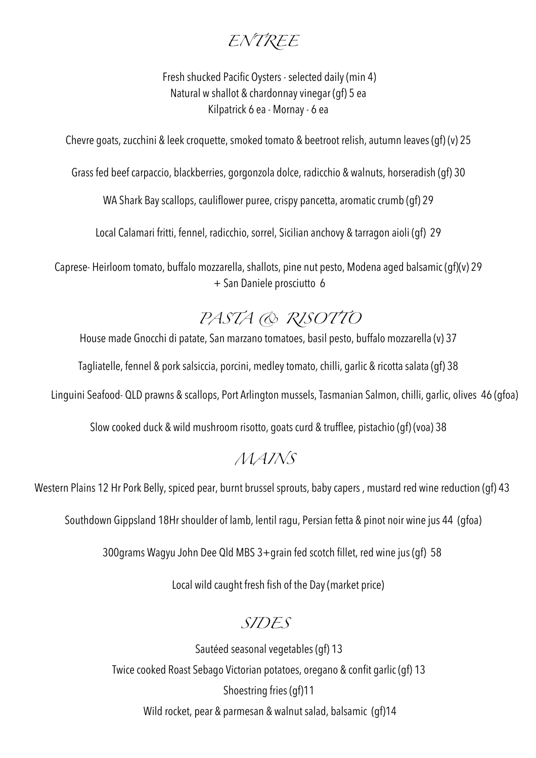#### *ENTREE*

 Fresh shucked Pacific Oysters - selected daily (min 4) Natural w shallot & chardonnay vinegar (gf) 5 ea Kilpatrick 6 ea - Mornay - 6 ea

Chevre goats, zucchini & leek croquette, smoked tomato & beetroot relish, autumn leaves (gf) (v) 25

Grass fed beef carpaccio, blackberries, gorgonzola dolce, radicchio & walnuts, horseradish (gf) 30

WA Shark Bay scallops, cauliflower puree, crispy pancetta, aromatic crumb (gf) 29

Local Calamari fritti, fennel, radicchio, sorrel, Sicilian anchovy & tarragon aioli (gf) 29

Caprese- Heirloom tomato, buffalo mozzarella, shallots, pine nut pesto, Modena aged balsamic (gf)(v) 29 + San Daniele prosciutto 6

## *PASTA & RISOTTO*

House made Gnocchi di patate, San marzano tomatoes, basil pesto, buffalo mozzarella (v) 37

Tagliatelle, fennel & pork salsiccia, porcini, medley tomato, chilli, garlic & ricotta salata (gf) 38

Linguini Seafood- QLD prawns & scallops, Port Arlington mussels, Tasmanian Salmon, chilli, garlic, olives 46 (gfoa)

Slow cooked duck & wild mushroom risotto, goats curd & trufflee, pistachio (gf) (voa) 38

#### *MAINS*

Western Plains 12 Hr Pork Belly, spiced pear, burnt brussel sprouts, baby capers , mustard red wine reduction (gf) 43

Southdown Gippsland 18Hr shoulder of lamb, lentil ragu, Persian fetta & pinot noir wine jus 44 (gfoa)

300grams Wagyu John Dee Qld MBS 3+grain fed scotch fillet, red wine jus (gf) 58

Local wild caught fresh fish of the Day (market price)

#### *SIDES*

Sautéed seasonal vegetables (gf) 13 Twice cooked Roast Sebago Victorian potatoes, oregano & confit garlic (gf) 13 Shoestring fries (gf)11 Wild rocket, pear & parmesan & walnut salad, balsamic (gf)14